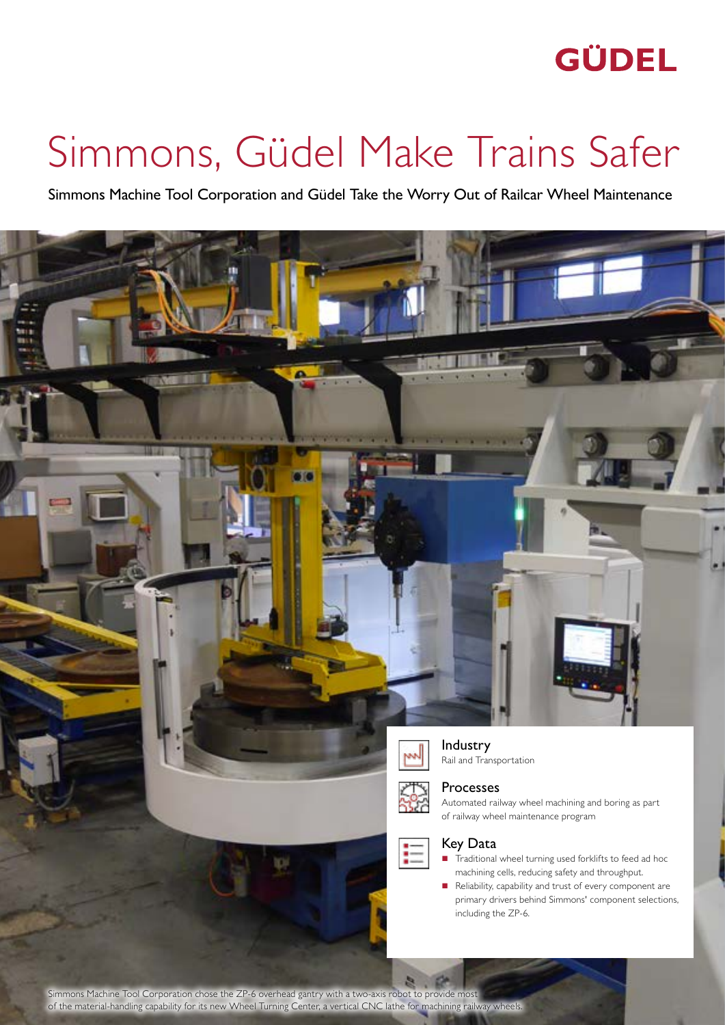## **GÜDEL**

# Simmons, Güdel Make Trains Safer

Simmons Machine Tool Corporation and Güdel Take the Worry Out of Railcar Wheel Maintenance



Simmons Machine Tool Corporation chose the ZP-6 overhead gantry with a two-axis robot to provide most of the material-handling capability for its new Wheel Turning Center, a vertical CNC lathe for machining railway wheels.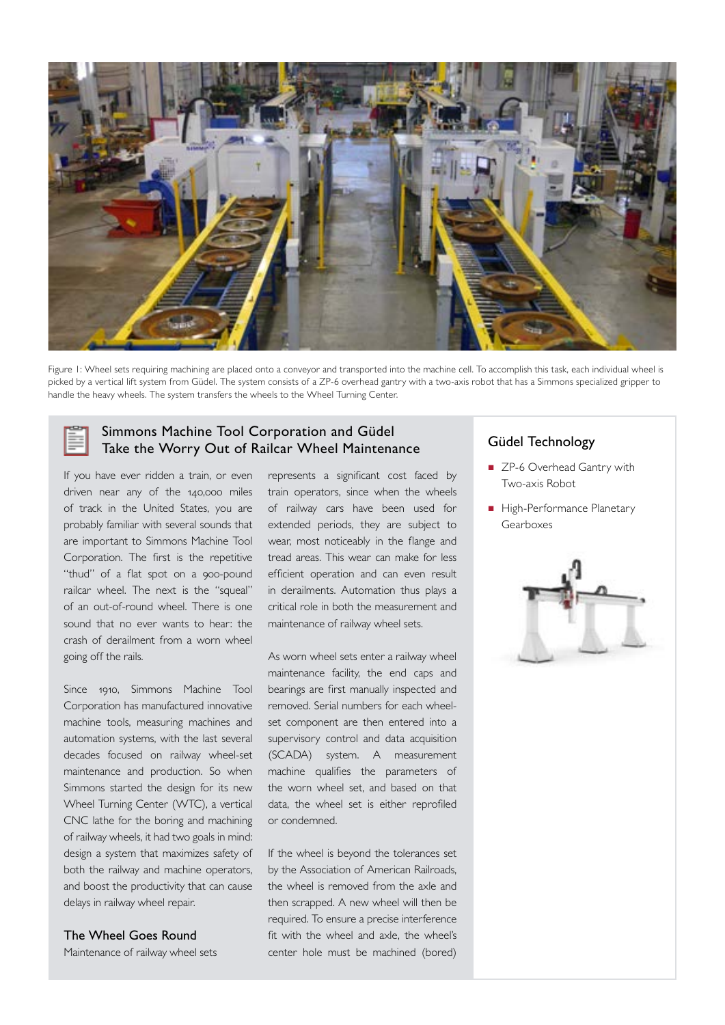

Figure 1: Wheel sets requiring machining are placed onto a conveyor and transported into the machine cell. To accomplish this task, each individual wheel is picked by a vertical lift system from Güdel. The system consists of a ZP-6 overhead gantry with a two-axis robot that has a Simmons specialized gripper to handle the heavy wheels. The system transfers the wheels to the Wheel Turning Center.

## Simmons Machine Tool Corporation and Güdel Take the Worry Out of Railcar Wheel Maintenance Güdel Technology

If you have ever ridden a train, or even driven near any of the 140,000 miles of track in the United States, you are probably familiar with several sounds that are important to Simmons Machine Tool Corporation. The first is the repetitive "thud" of a flat spot on a 900-pound railcar wheel. The next is the "squeal" of an out-of-round wheel. There is one sound that no ever wants to hear: the crash of derailment from a worn wheel going off the rails.

Since 1910, Simmons Machine Tool Corporation has manufactured innovative machine tools, measuring machines and automation systems, with the last several decades focused on railway wheel-set maintenance and production. So when Simmons started the design for its new Wheel Turning Center (WTC), a vertical CNC lathe for the boring and machining of railway wheels, it had two goals in mind: design a system that maximizes safety of both the railway and machine operators, and boost the productivity that can cause delays in railway wheel repair.

#### The Wheel Goes Round

Maintenance of railway wheel sets

represents a significant cost faced by train operators, since when the wheels of railway cars have been used for extended periods, they are subject to wear, most noticeably in the flange and tread areas. This wear can make for less efficient operation and can even result in derailments. Automation thus plays a critical role in both the measurement and maintenance of railway wheel sets.

As worn wheel sets enter a railway wheel maintenance facility, the end caps and bearings are first manually inspected and removed. Serial numbers for each wheelset component are then entered into a supervisory control and data acquisition (SCADA) system. A measurement machine qualifies the parameters of the worn wheel set, and based on that data, the wheel set is either reprofiled or condemned.

If the wheel is beyond the tolerances set by the Association of American Railroads, the wheel is removed from the axle and then scrapped. A new wheel will then be required. To ensure a precise interference fit with the wheel and axle, the wheel's center hole must be machined (bored)

- ZP-6 Overhead Gantry with Two-axis Robot
- High-Performance Planetary Gearboxes